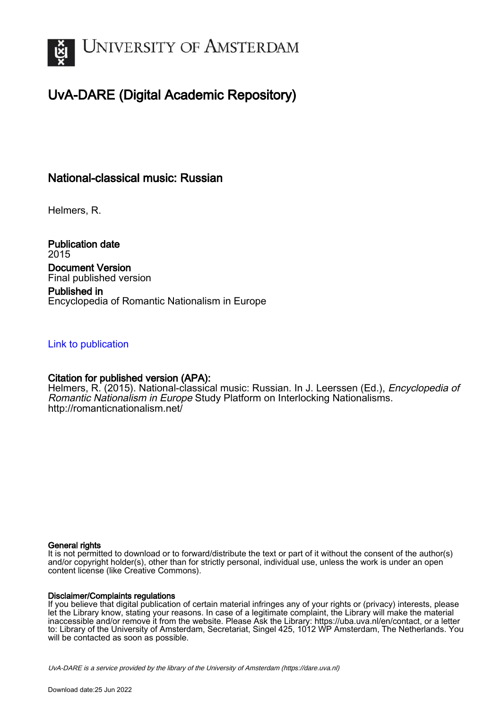

# UvA-DARE (Digital Academic Repository)

## National-classical music: Russian

Helmers, R.

Publication date 2015 Document Version Final published version

Published in Encyclopedia of Romantic Nationalism in Europe

### [Link to publication](https://dare.uva.nl/personal/pure/en/publications/nationalclassical-music-russian(ad75a1bd-a08b-47e4-bcce-0afbbb14c54b).html)

### Citation for published version (APA):

Helmers, R. (2015). National-classical music: Russian. In J. Leerssen (Ed.), *Encyclopedia of* Romantic Nationalism in Europe Study Platform on Interlocking Nationalisms. <http://romanticnationalism.net/>

#### General rights

It is not permitted to download or to forward/distribute the text or part of it without the consent of the author(s) and/or copyright holder(s), other than for strictly personal, individual use, unless the work is under an open content license (like Creative Commons).

#### Disclaimer/Complaints regulations

If you believe that digital publication of certain material infringes any of your rights or (privacy) interests, please let the Library know, stating your reasons. In case of a legitimate complaint, the Library will make the material inaccessible and/or remove it from the website. Please Ask the Library: https://uba.uva.nl/en/contact, or a letter to: Library of the University of Amsterdam, Secretariat, Singel 425, 1012 WP Amsterdam, The Netherlands. You will be contacted as soon as possible.

UvA-DARE is a service provided by the library of the University of Amsterdam (http*s*://dare.uva.nl)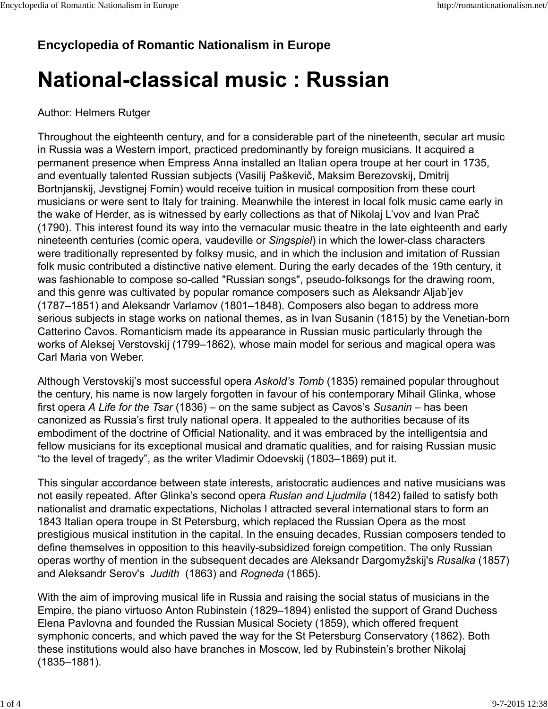# **Encyclopedia of Romantic Nationalism in Europe**

# **National-classical music: Russian**

## Author: Helmers Rutger

Throughout the eighteenth century, and for a considerable part of the nineteenth, secular art music in Russia was a Western import, practiced predominantly by foreign musicians. It acquired a permanent presence when Empress Anna installed an Italian opera troupe at her court in 1735, and eventually talented Russian subjects (Vasilij Paškevič, Maksim Berezovskij, Dmitrij Bortnjanskij, Jevstignej Fomin) would receive tuition in musical composition from these court musicians or were sent to Italy for training. Meanwhile the interest in local folk music came early in the wake of Herder, as is witnessed by early collections as that of Nikolaj L'vov and Ivan Prač (1790). This interest found its way into the vernacular music theatre in the late eighteenth and early nineteenth centuries (comic opera, vaudeville or *Singspiel*) in which the lower-class characters were traditionally represented by folksy music, and in which the inclusion and imitation of Russian folk music contributed a distinctive native element. During the early decades of the 19th century, it was fashionable to compose so-called "Russian songs", pseudo-folksongs for the drawing room, and this genre was cultivated by popular romance composers such as Aleksandr Aljab'jev (1787–1851) and Aleksandr Varlamov (1801–1848). Composers also began to address more serious subjects in stage works on national themes, as in Ivan Susanin (1815) by the Venetian-born Catterino Cavos. Romanticism made its appearance in Russian music particularly through the works of Aleksej Verstovskij (1799–1862), whose main model for serious and magical opera was Carl Maria von Weber.

Although Verstovskij's most successful opera *Askold's Tomb* (1835) remained popular throughout the century, his name is now largely forgotten in favour of his contemporary Mihail Glinka, whose first opera *A Life for the Tsar* (1836) – on the same subject as Cavos's *Susanin* – has been canonized as Russia's first truly national opera. It appealed to the authorities because of its embodiment of the doctrine of Official Nationality, and it was embraced by the intelligentsia and fellow musicians for its exceptional musical and dramatic qualities, and for raising Russian music "to the level of tragedy", as the writer Vladimir Odoevskij (1803–1869) put it.

This singular accordance between state interests, aristocratic audiences and native musicians was not easily repeated. After Glinka's second opera *Ruslan and Ljudmila* (1842) failed to satisfy both nationalist and dramatic expectations, Nicholas I attracted several international stars to form an 1843 Italian opera troupe in St Petersburg, which replaced the Russian Opera as the most prestigious musical institution in the capital. In the ensuing decades, Russian composers tended to define themselves in opposition to this heavily-subsidized foreign competition. The only Russian operas worthy of mention in the subsequent decades are Aleksandr Dargomyžskij's *Rusalka* (1857) and Aleksandr Serov's *Judith* (1863) and *Rogneda* (1865).

With the aim of improving musical life in Russia and raising the social status of musicians in the Empire, the piano virtuoso Anton Rubinstein (1829–1894) enlisted the support of Grand Duchess Elena Pavlovna and founded the Russian Musical Society (1859), which offered frequent symphonic concerts, and which paved the way for the St Petersburg Conservatory (1862). Both these institutions would also have branches in Moscow, led by Rubinstein's brother Nikolaj (1835–1881).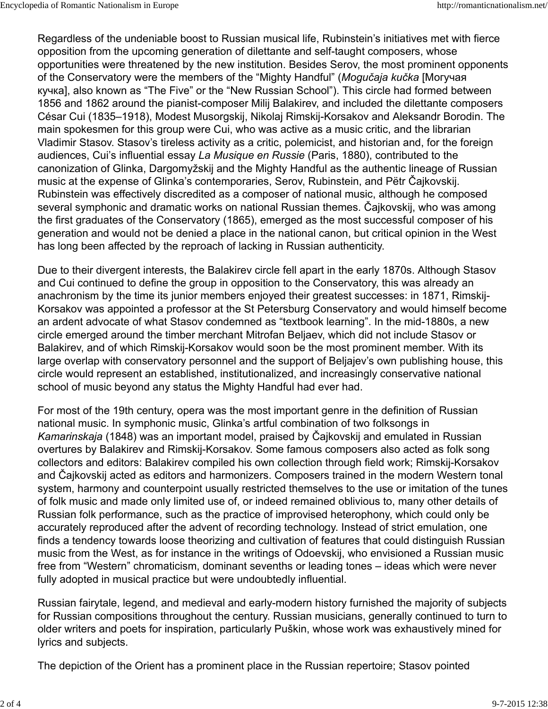Regardless of the undeniable boost to Russian musical life, Rubinstein's initiatives met with fierce opposition from the upcoming generation of dilettante and self-taught composers, whose opportunities were threatened by the new institution. Besides Serov, the most prominent opponents of the Conservatory were the members of the "Mighty Handful" (*Mogučaja kučka* [Могучая кучка], also known as "The Five" or the "New Russian School"). This circle had formed between 1856 and 1862 around the pianist-composer Milij Balakirev, and included the dilettante composers César Cui (1835–1918), Modest Musorgskij, Nikolaj Rimskij-Korsakov and Aleksandr Borodin. The main spokesmen for this group were Cui, who was active as a music critic, and the librarian Vladimir Stasov. Stasov's tireless activity as a critic, polemicist, and historian and, for the foreign audiences, Cui's influential essay *La Musique en Russie* (Paris, 1880), contributed to the canonization of Glinka, Dargomyžskij and the Mighty Handful as the authentic lineage of Russian music at the expense of Glinka's contemporaries, Serov, Rubinstein, and Pëtr Čajkovskij. Rubinstein was effectively discredited as a composer of national music, although he composed several symphonic and dramatic works on national Russian themes. Čajkovskij, who was among the first graduates of the Conservatory (1865), emerged as the most successful composer of his generation and would not be denied a place in the national canon, but critical opinion in the West has long been affected by the reproach of lacking in Russian authenticity.

Due to their divergent interests, the Balakirev circle fell apart in the early 1870s. Although Stasov and Cui continued to define the group in opposition to the Conservatory, this was already an anachronism by the time its junior members enjoyed their greatest successes: in 1871, Rimskij-Korsakov was appointed a professor at the St Petersburg Conservatory and would himself become an ardent advocate of what Stasov condemned as "textbook learning". In the mid-1880s, a new circle emerged around the timber merchant Mitrofan Beljaev, which did not include Stasov or Balakirev, and of which Rimskij-Korsakov would soon be the most prominent member. With its large overlap with conservatory personnel and the support of Beljajev's own publishing house, this circle would represent an established, institutionalized, and increasingly conservative national school of music beyond any status the Mighty Handful had ever had.

For most of the 19th century, opera was the most important genre in the definition of Russian national music. In symphonic music, Glinka's artful combination of two folksongs in *Kamarinskaja* (1848) was an important model, praised by Čajkovskij and emulated in Russian overtures by Balakirev and Rimskij-Korsakov. Some famous composers also acted as folk song collectors and editors: Balakirev compiled his own collection through field work; Rimskij-Korsakov and Čajkovskij acted as editors and harmonizers. Composers trained in the modern Western tonal system, harmony and counterpoint usually restricted themselves to the use or imitation of the tunes of folk music and made only limited use of, or indeed remained oblivious to, many other details of Russian folk performance, such as the practice of improvised heterophony, which could only be accurately reproduced after the advent of recording technology. Instead of strict emulation, one finds a tendency towards loose theorizing and cultivation of features that could distinguish Russian music from the West, as for instance in the writings of Odoevskij, who envisioned a Russian music free from "Western" chromaticism, dominant sevenths or leading tones – ideas which were never fully adopted in musical practice but were undoubtedly influential.

Russian fairytale, legend, and medieval and early-modern history furnished the majority of subjects for Russian compositions throughout the century. Russian musicians, generally continued to turn to older writers and poets for inspiration, particularly Puškin, whose work was exhaustively mined for lyrics and subjects.

The depiction of the Orient has a prominent place in the Russian repertoire; Stasov pointed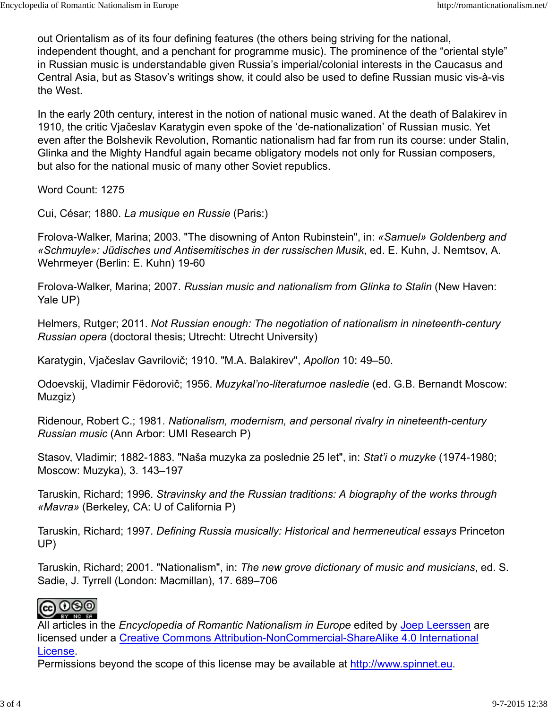out Orientalism as of its four defining features (the others being striving for the national, independent thought, and a penchant for programme music). The prominence of the "oriental style" in Russian music is understandable given Russia's imperial/colonial interests in the Caucasus and Central Asia, but as Stasov's writings show, it could also be used to define Russian music vis-à-vis the West.

In the early 20th century, interest in the notion of national music waned. At the death of Balakirev in 1910, the critic Vjačeslav Karatygin even spoke of the 'de-nationalization' of Russian music. Yet even after the Bolshevik Revolution, Romantic nationalism had far from run its course: under Stalin, Glinka and the Mighty Handful again became obligatory models not only for Russian composers, but also for the national music of many other Soviet republics.

Word Count: 1275

Cui, César; 1880. *La musique en Russie* (Paris:)

Frolova-Walker, Marina; 2003. "The disowning of Anton Rubinstein", in: *«Samuel» Goldenberg and «Schmuyle»: Jüdisches und Antisemitisches in der russischen Musik*, ed. E. Kuhn, J. Nemtsov, A. Wehrmeyer (Berlin: E. Kuhn) 19-60

Frolova-Walker, Marina; 2007. *Russian music and nationalism from Glinka to Stalin* (New Haven: Yale UP)

Helmers, Rutger; 2011. *Not Russian enough: The negotiation of nationalism in nineteenth-century Russian opera* (doctoral thesis; Utrecht: Utrecht University)

Karatygin, Vjačeslav Gavrilovič; 1910. "M.A. Balakirev", *Apollon* 10: 49–50.

Odoevskij, Vladimir Fëdorovič; 1956. *Muzykal'no-literaturnoe nasledie* (ed. G.B. Bernandt Moscow: Muzgiz)

Ridenour, Robert C.; 1981. *Nationalism, modernism, and personal rivalry in nineteenth-century Russian music* (Ann Arbor: UMI Research P)

Stasov, Vladimir; 1882-1883. "Naša muzyka za poslednie 25 let", in: *Stat'i o muzyke* (1974-1980; Moscow: Muzyka), 3. 143–197

Taruskin, Richard; 1996. *Stravinsky and the Russian traditions: A biography of the works through «Mavra»* (Berkeley, CA: U of California P)

Taruskin, Richard; 1997. *Defining Russia musically: Historical and hermeneutical essays* Princeton UP)

Taruskin, Richard; 2001. "Nationalism", in: *The new grove dictionary of music and musicians*, ed. S. Sadie, J. Tyrrell (London: Macmillan), 17. 689–706

# **@@@**

All articles in the *Encyclopedia of Romantic Nationalism in Europe* edited by Joep Leerssen are licensed under a Creative Commons Attribution-NonCommercial-ShareAlike 4.0 International License.

Permissions beyond the scope of this license may be available at http://www.spinnet.eu.